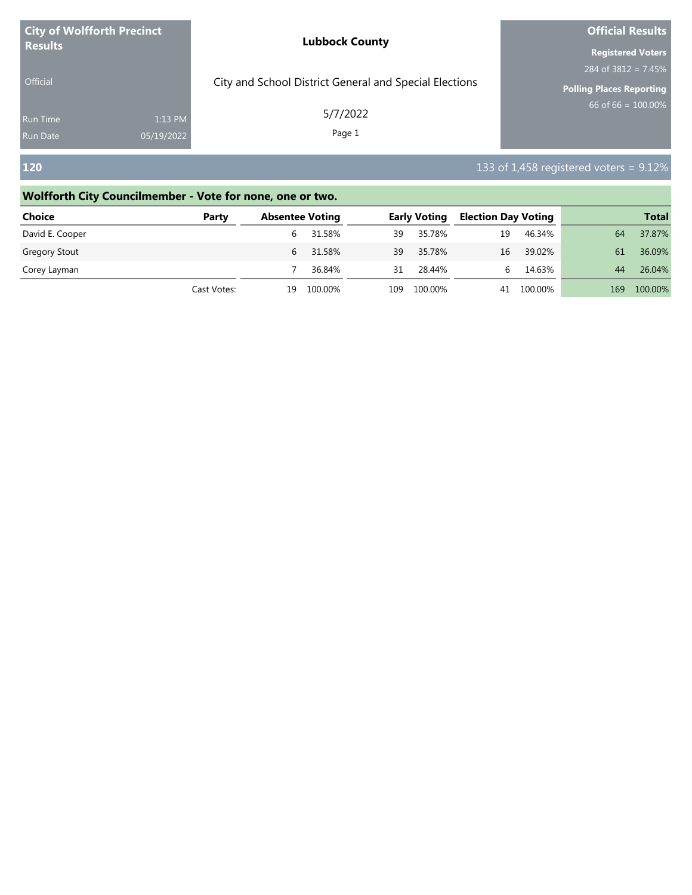| <b>City of Wolfforth Precinct</b><br><b>Results</b> |            | <b>Lubbock County</b>                                  | <b>Official Results</b>         |  |  |
|-----------------------------------------------------|------------|--------------------------------------------------------|---------------------------------|--|--|
|                                                     |            |                                                        | <b>Registered Voters</b>        |  |  |
|                                                     |            |                                                        | 284 of $3812 = 7.45\%$          |  |  |
| <b>Official</b>                                     |            | City and School District General and Special Elections | <b>Polling Places Reporting</b> |  |  |
| <b>Run Time</b>                                     | 1:13 PM    | 5/7/2022                                               | $66$ of 66 = $100.00\%$         |  |  |
| <b>Run Date</b>                                     | 05/19/2022 | Page 1                                                 |                                 |  |  |
|                                                     |            |                                                        |                                 |  |  |

# **120** 133 of 1,458 registered voters = 9.12%

### **Wolfforth City Councilmember - Vote for none, one or two.**

| <b>Choice</b>        | Party       | <b>Absentee Voting</b> |             | <b>Early Voting</b> |         | <b>Election Day Voting</b> |            |     | <b>Total</b> |
|----------------------|-------------|------------------------|-------------|---------------------|---------|----------------------------|------------|-----|--------------|
| David E. Cooper      |             |                        | 31.58%      | 39                  | 35.78%  | 19                         | 46.34%     | 64  | 37.87%       |
| <b>Gregory Stout</b> |             |                        | 31.58%<br>h | 39                  | 35.78%  | 16                         | 39.02%     | 61  | 36.09%       |
| Corey Layman         |             |                        | 36.84%      | 31                  | 28.44%  | 6                          | 14.63%     | 44  | 26.04%       |
|                      | Cast Votes: | 19                     | 100.00%     | 109                 | 100.00% |                            | 41 100.00% | 169 | 100.00%      |